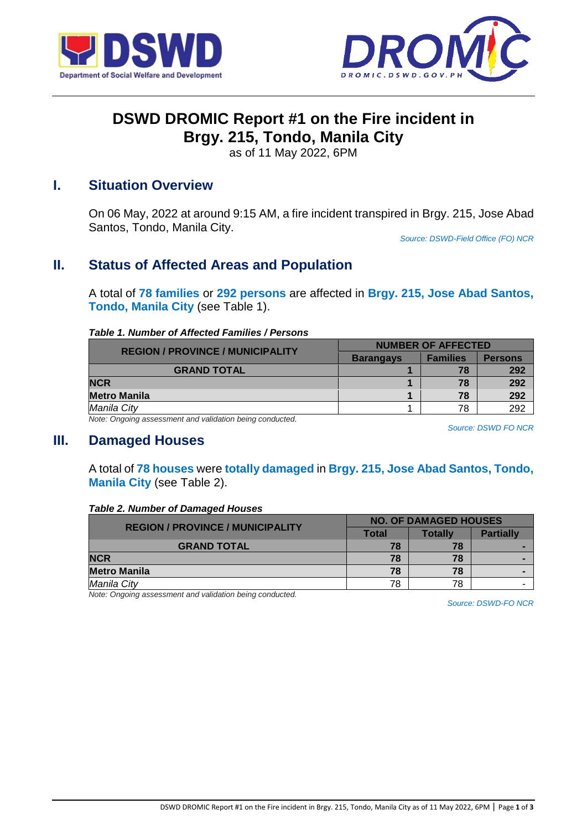



# **DSWD DROMIC Report #1 on the Fire incident in Brgy. 215, Tondo, Manila City**

as of 11 May 2022, 6PM

### **I. Situation Overview**

On 06 May, 2022 at around 9:15 AM, a fire incident transpired in Brgy. 215, Jose Abad Santos, Tondo, Manila City.

*Source: DSWD-Field Office (FO) NCR*

## **II. Status of Affected Areas and Population**

A total of **78 families** or **292 persons** are affected in **Brgy. 215, Jose Abad Santos, Tondo, Manila City** (see Table 1).

#### *Table 1. Number of Affected Families / Persons*

| <b>REGION / PROVINCE / MUNICIPALITY</b>                     | <b>NUMBER OF AFFECTED</b> |                 |                |
|-------------------------------------------------------------|---------------------------|-----------------|----------------|
|                                                             | <b>Barangays</b>          | <b>Families</b> | <b>Persons</b> |
| <b>GRAND TOTAL</b>                                          |                           | 78              | 292            |
| <b>NCR</b>                                                  |                           | 78              | 292            |
| <b>Metro Manila</b>                                         |                           | 78              | 292            |
| Manila City                                                 |                           | 78              | 292            |
| Metar Openham accessories to and unlided an baing sonducted |                           |                 |                |

*Note: Ongoing assessment and validation being conducted.* 

*Source: DSWD FO NCR*

### **III. Damaged Houses**

A total of **78 houses** were **totally damaged** in **Brgy. 215, Jose Abad Santos, Tondo, Manila City** (see Table 2).

#### *Table 2. Number of Damaged Houses*

| <b>REGION / PROVINCE / MUNICIPALITY</b> | <b>NO. OF DAMAGED HOUSES</b> |         |                  |
|-----------------------------------------|------------------------------|---------|------------------|
|                                         | <b>Total</b>                 | Totallv | <b>Partially</b> |
| <b>GRAND TOTAL</b>                      | 78                           | 78      |                  |
| <b>NCR</b>                              | 78                           | 78      |                  |
| <b>Metro Manila</b>                     | 78                           | 78      |                  |
| Manila City                             | 78                           | 78      |                  |

*Note: Ongoing assessment and validation being conducted.*

*Source: DSWD-FO NCR*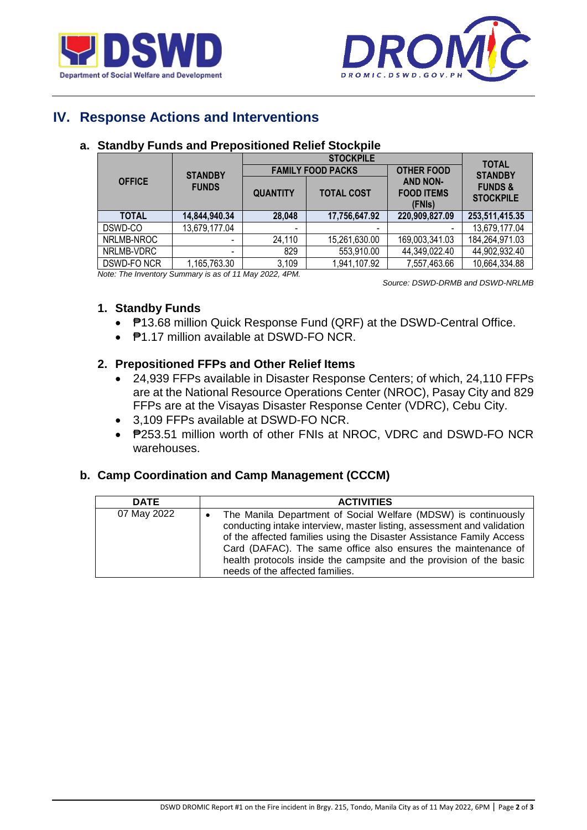



# **IV. Response Actions and Interventions**

| <b>STANDBY</b> |               | <b>STOCKPILE</b>                           |                   |                                                | <b>TOTAL</b>                           |
|----------------|---------------|--------------------------------------------|-------------------|------------------------------------------------|----------------------------------------|
|                |               | <b>FAMILY FOOD PACKS</b>                   |                   | <b>OTHER FOOD</b>                              | <b>STANDBY</b>                         |
| <b>OFFICE</b>  | <b>FUNDS</b>  | <b>QUANTITY</b>                            | <b>TOTAL COST</b> | <b>AND NON-</b><br><b>FOOD ITEMS</b><br>(FNIs) | <b>FUNDS &amp;</b><br><b>STOCKPILE</b> |
| <b>TOTAL</b>   | 14,844,940.34 | 28,048                                     | 17,756,647.92     | 220,909,827.09                                 | 253,511,415.35                         |
| DSWD-CO        | 13,679,177.04 | $\blacksquare$                             | ٠                 |                                                | 13,679,177.04                          |
| NRLMB-NROC     |               | 24,110                                     | 15,261,630.00     | 169,003,341.03                                 | 184,264,971.03                         |
| NRLMB-VDRC     | -             | 829                                        | 553,910.00        | 44,349,022.40                                  | 44,902,932.40                          |
| DSWD-FONCR     | 1,165,763.30  | 3,109<br>$\overline{\phantom{a}}$<br>0.000 | 1,941,107.92      | 7,557,463.66                                   | 10,664,334.88                          |

#### **a. Standby Funds and Prepositioned Relief Stockpile**

*Note: The Inventory Summary is as of 11 May 2022, 4PM.*

 *Source: DSWD-DRMB and DSWD-NRLMB*

#### **1. Standby Funds**

- **₱13.68 million Quick Response Fund (QRF) at the DSWD-Central Office.**
- **₱1.17 million available at DSWD-FO NCR.**

### **2. Prepositioned FFPs and Other Relief Items**

- 24,939 FFPs available in Disaster Response Centers; of which, 24,110 FFPs are at the National Resource Operations Center (NROC), Pasay City and 829 FFPs are at the Visayas Disaster Response Center (VDRC), Cebu City.
- 3,109 FFPs available at DSWD-FO NCR.
- $P253.51$  million worth of other FNIs at NROC, VDRC and DSWD-FO NCR warehouses.

### **b. Camp Coordination and Camp Management (CCCM)**

| <b>DATE</b> | <b>ACTIVITIES</b>                                                                                                                                                                                                                                                                                                                                                                           |
|-------------|---------------------------------------------------------------------------------------------------------------------------------------------------------------------------------------------------------------------------------------------------------------------------------------------------------------------------------------------------------------------------------------------|
| 07 May 2022 | The Manila Department of Social Welfare (MDSW) is continuously<br>conducting intake interview, master listing, assessment and validation<br>of the affected families using the Disaster Assistance Family Access<br>Card (DAFAC). The same office also ensures the maintenance of<br>health protocols inside the campsite and the provision of the basic<br>needs of the affected families. |